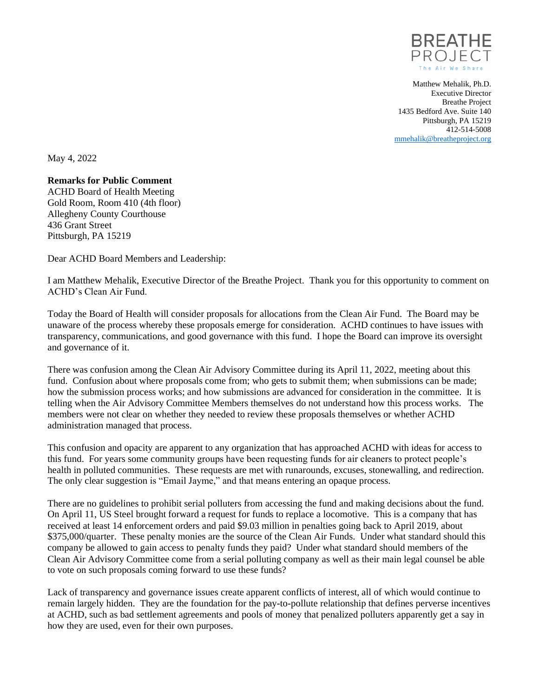

Matthew Mehalik, Ph.D. Executive Director Breathe Project 1435 Bedford Ave. Suite 140 Pittsburgh, PA 15219 412-514-5008 [mmehalik@breatheproject.org](mailto:mmehalik@breatheproject.org)

May 4, 2022

## **Remarks for Public Comment**

ACHD Board of Health Meeting Gold Room, Room 410 (4th floor) Allegheny County Courthouse 436 Grant Street Pittsburgh, PA 15219

Dear ACHD Board Members and Leadership:

I am Matthew Mehalik, Executive Director of the Breathe Project. Thank you for this opportunity to comment on ACHD's Clean Air Fund.

Today the Board of Health will consider proposals for allocations from the Clean Air Fund. The Board may be unaware of the process whereby these proposals emerge for consideration. ACHD continues to have issues with transparency, communications, and good governance with this fund. I hope the Board can improve its oversight and governance of it.

There was confusion among the Clean Air Advisory Committee during its April 11, 2022, meeting about this fund. Confusion about where proposals come from; who gets to submit them; when submissions can be made; how the submission process works; and how submissions are advanced for consideration in the committee. It is telling when the Air Advisory Committee Members themselves do not understand how this process works. The members were not clear on whether they needed to review these proposals themselves or whether ACHD administration managed that process.

This confusion and opacity are apparent to any organization that has approached ACHD with ideas for access to this fund. For years some community groups have been requesting funds for air cleaners to protect people's health in polluted communities. These requests are met with runarounds, excuses, stonewalling, and redirection. The only clear suggestion is "Email Jayme," and that means entering an opaque process.

There are no guidelines to prohibit serial polluters from accessing the fund and making decisions about the fund. On April 11, US Steel brought forward a request for funds to replace a locomotive. This is a company that has received at least 14 enforcement orders and paid \$9.03 million in penalties going back to April 2019, about \$375,000/quarter. These penalty monies are the source of the Clean Air Funds. Under what standard should this company be allowed to gain access to penalty funds they paid? Under what standard should members of the Clean Air Advisory Committee come from a serial polluting company as well as their main legal counsel be able to vote on such proposals coming forward to use these funds?

Lack of transparency and governance issues create apparent conflicts of interest, all of which would continue to remain largely hidden. They are the foundation for the pay-to-pollute relationship that defines perverse incentives at ACHD, such as bad settlement agreements and pools of money that penalized polluters apparently get a say in how they are used, even for their own purposes.